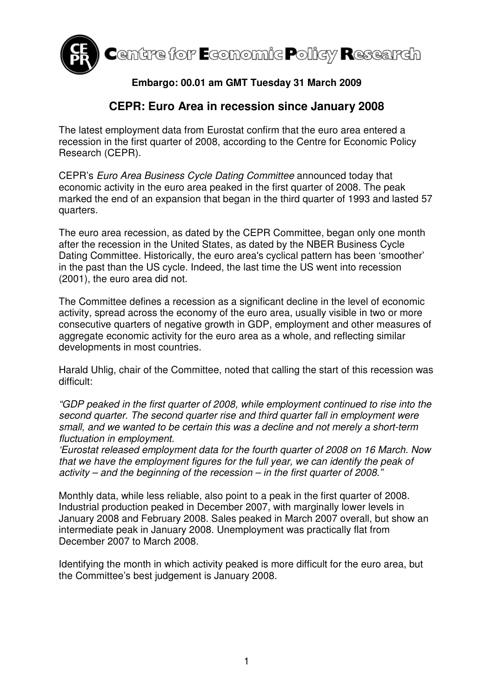

## **Embargo: 00.01 am GMT Tuesday 31 March 2009**

## **CEPR: Euro Area in recession since January 2008**

The latest employment data from Eurostat confirm that the euro area entered a recession in the first quarter of 2008, according to the Centre for Economic Policy Research (CEPR).

CEPR's Euro Area Business Cycle Dating Committee announced today that economic activity in the euro area peaked in the first quarter of 2008. The peak marked the end of an expansion that began in the third quarter of 1993 and lasted 57 quarters.

The euro area recession, as dated by the CEPR Committee, began only one month after the recession in the United States, as dated by the NBER Business Cycle Dating Committee. Historically, the euro area's cyclical pattern has been 'smoother' in the past than the US cycle. Indeed, the last time the US went into recession (2001), the euro area did not.

The Committee defines a recession as a significant decline in the level of economic activity, spread across the economy of the euro area, usually visible in two or more consecutive quarters of negative growth in GDP, employment and other measures of aggregate economic activity for the euro area as a whole, and reflecting similar developments in most countries.

Harald Uhlig, chair of the Committee, noted that calling the start of this recession was difficult:

"GDP peaked in the first quarter of 2008, while employment continued to rise into the second quarter. The second quarter rise and third quarter fall in employment were small, and we wanted to be certain this was a decline and not merely a short-term fluctuation in employment.

'Eurostat released employment data for the fourth quarter of 2008 on 16 March. Now that we have the employment figures for the full year, we can identify the peak of activity – and the beginning of the recession – in the first quarter of 2008."

Monthly data, while less reliable, also point to a peak in the first quarter of 2008. Industrial production peaked in December 2007, with marginally lower levels in January 2008 and February 2008. Sales peaked in March 2007 overall, but show an intermediate peak in January 2008. Unemployment was practically flat from December 2007 to March 2008.

Identifying the month in which activity peaked is more difficult for the euro area, but the Committee's best judgement is January 2008.